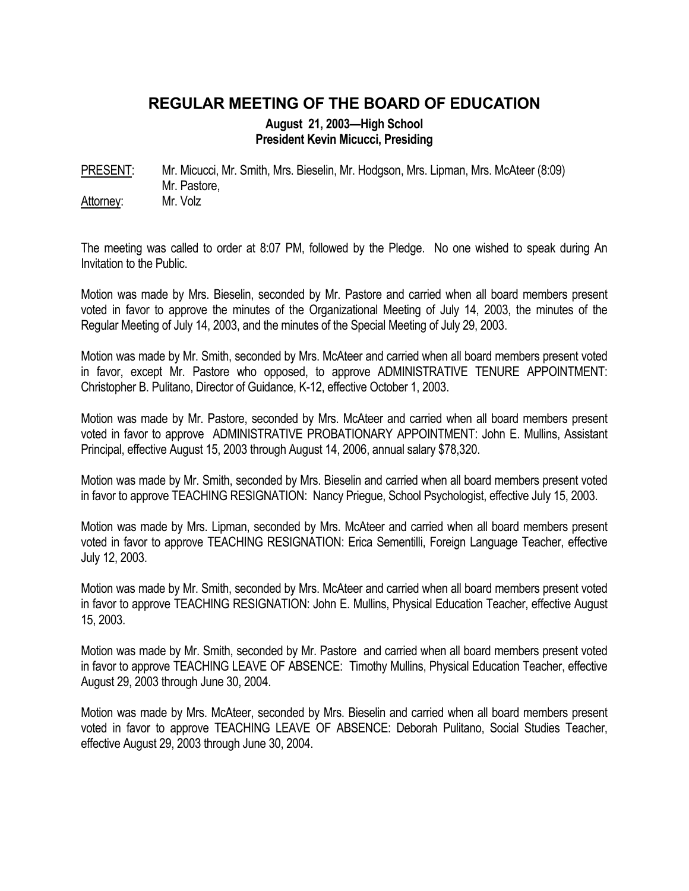## **REGULAR MEETING OF THE BOARD OF EDUCATION**

**August 21, 2003—High School President Kevin Micucci, Presiding** 

PRESENT: Mr. Micucci, Mr. Smith, Mrs. Bieselin, Mr. Hodgson, Mrs. Lipman, Mrs. McAteer (8:09) Mr. Pastore, Attorney: Mr. Volz

The meeting was called to order at 8:07 PM, followed by the Pledge. No one wished to speak during An Invitation to the Public.

Motion was made by Mrs. Bieselin, seconded by Mr. Pastore and carried when all board members present voted in favor to approve the minutes of the Organizational Meeting of July 14, 2003, the minutes of the Regular Meeting of July 14, 2003, and the minutes of the Special Meeting of July 29, 2003.

Motion was made by Mr. Smith, seconded by Mrs. McAteer and carried when all board members present voted in favor, except Mr. Pastore who opposed, to approve ADMINISTRATIVE TENURE APPOINTMENT: Christopher B. Pulitano, Director of Guidance, K-12, effective October 1, 2003.

Motion was made by Mr. Pastore, seconded by Mrs. McAteer and carried when all board members present voted in favor to approve ADMINISTRATIVE PROBATIONARY APPOINTMENT: John E. Mullins, Assistant Principal, effective August 15, 2003 through August 14, 2006, annual salary \$78,320.

Motion was made by Mr. Smith, seconded by Mrs. Bieselin and carried when all board members present voted in favor to approve TEACHING RESIGNATION: Nancy Priegue, School Psychologist, effective July 15, 2003.

Motion was made by Mrs. Lipman, seconded by Mrs. McAteer and carried when all board members present voted in favor to approve TEACHING RESIGNATION: Erica Sementilli, Foreign Language Teacher, effective July 12, 2003.

Motion was made by Mr. Smith, seconded by Mrs. McAteer and carried when all board members present voted in favor to approve TEACHING RESIGNATION: John E. Mullins, Physical Education Teacher, effective August 15, 2003.

Motion was made by Mr. Smith, seconded by Mr. Pastore and carried when all board members present voted in favor to approve TEACHING LEAVE OF ABSENCE: Timothy Mullins, Physical Education Teacher, effective August 29, 2003 through June 30, 2004.

Motion was made by Mrs. McAteer, seconded by Mrs. Bieselin and carried when all board members present voted in favor to approve TEACHING LEAVE OF ABSENCE: Deborah Pulitano, Social Studies Teacher, effective August 29, 2003 through June 30, 2004.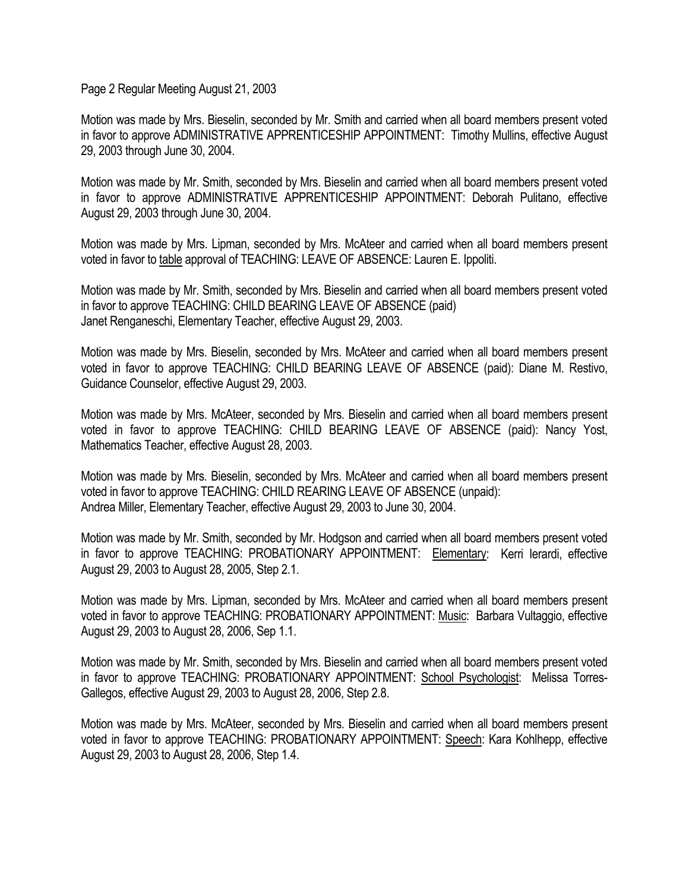Page 2 Regular Meeting August 21, 2003

Motion was made by Mrs. Bieselin, seconded by Mr. Smith and carried when all board members present voted in favor to approve ADMINISTRATIVE APPRENTICESHIP APPOINTMENT: Timothy Mullins, effective August 29, 2003 through June 30, 2004.

Motion was made by Mr. Smith, seconded by Mrs. Bieselin and carried when all board members present voted in favor to approve ADMINISTRATIVE APPRENTICESHIP APPOINTMENT: Deborah Pulitano, effective August 29, 2003 through June 30, 2004.

Motion was made by Mrs. Lipman, seconded by Mrs. McAteer and carried when all board members present voted in favor to table approval of TEACHING: LEAVE OF ABSENCE: Lauren E. Ippoliti.

Motion was made by Mr. Smith, seconded by Mrs. Bieselin and carried when all board members present voted in favor to approve TEACHING: CHILD BEARING LEAVE OF ABSENCE (paid) Janet Renganeschi, Elementary Teacher, effective August 29, 2003.

Motion was made by Mrs. Bieselin, seconded by Mrs. McAteer and carried when all board members present voted in favor to approve TEACHING: CHILD BEARING LEAVE OF ABSENCE (paid): Diane M. Restivo, Guidance Counselor, effective August 29, 2003.

Motion was made by Mrs. McAteer, seconded by Mrs. Bieselin and carried when all board members present voted in favor to approve TEACHING: CHILD BEARING LEAVE OF ABSENCE (paid): Nancy Yost, Mathematics Teacher, effective August 28, 2003.

Motion was made by Mrs. Bieselin, seconded by Mrs. McAteer and carried when all board members present voted in favor to approve TEACHING: CHILD REARING LEAVE OF ABSENCE (unpaid): Andrea Miller, Elementary Teacher, effective August 29, 2003 to June 30, 2004.

Motion was made by Mr. Smith, seconded by Mr. Hodgson and carried when all board members present voted in favor to approve TEACHING: PROBATIONARY APPOINTMENT: Elementary: Kerri Ierardi, effective August 29, 2003 to August 28, 2005, Step 2.1.

Motion was made by Mrs. Lipman, seconded by Mrs. McAteer and carried when all board members present voted in favor to approve TEACHING: PROBATIONARY APPOINTMENT: Music: Barbara Vultaggio, effective August 29, 2003 to August 28, 2006, Sep 1.1.

Motion was made by Mr. Smith, seconded by Mrs. Bieselin and carried when all board members present voted in favor to approve TEACHING: PROBATIONARY APPOINTMENT: School Psychologist: Melissa Torres-Gallegos, effective August 29, 2003 to August 28, 2006, Step 2.8.

Motion was made by Mrs. McAteer, seconded by Mrs. Bieselin and carried when all board members present voted in favor to approve TEACHING: PROBATIONARY APPOINTMENT: Speech: Kara Kohlhepp, effective August 29, 2003 to August 28, 2006, Step 1.4.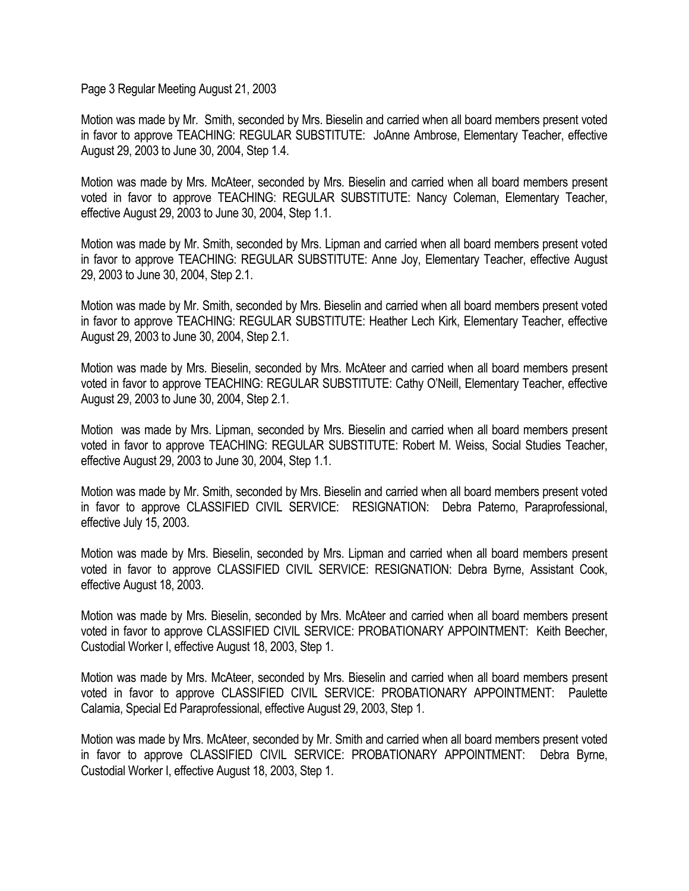Page 3 Regular Meeting August 21, 2003

Motion was made by Mr. Smith, seconded by Mrs. Bieselin and carried when all board members present voted in favor to approve TEACHING: REGULAR SUBSTITUTE: JoAnne Ambrose, Elementary Teacher, effective August 29, 2003 to June 30, 2004, Step 1.4.

Motion was made by Mrs. McAteer, seconded by Mrs. Bieselin and carried when all board members present voted in favor to approve TEACHING: REGULAR SUBSTITUTE: Nancy Coleman, Elementary Teacher, effective August 29, 2003 to June 30, 2004, Step 1.1.

Motion was made by Mr. Smith, seconded by Mrs. Lipman and carried when all board members present voted in favor to approve TEACHING: REGULAR SUBSTITUTE: Anne Joy, Elementary Teacher, effective August 29, 2003 to June 30, 2004, Step 2.1.

Motion was made by Mr. Smith, seconded by Mrs. Bieselin and carried when all board members present voted in favor to approve TEACHING: REGULAR SUBSTITUTE: Heather Lech Kirk, Elementary Teacher, effective August 29, 2003 to June 30, 2004, Step 2.1.

Motion was made by Mrs. Bieselin, seconded by Mrs. McAteer and carried when all board members present voted in favor to approve TEACHING: REGULAR SUBSTITUTE: Cathy O'Neill, Elementary Teacher, effective August 29, 2003 to June 30, 2004, Step 2.1.

Motion was made by Mrs. Lipman, seconded by Mrs. Bieselin and carried when all board members present voted in favor to approve TEACHING: REGULAR SUBSTITUTE: Robert M. Weiss, Social Studies Teacher, effective August 29, 2003 to June 30, 2004, Step 1.1.

Motion was made by Mr. Smith, seconded by Mrs. Bieselin and carried when all board members present voted in favor to approve CLASSIFIED CIVIL SERVICE: RESIGNATION: Debra Paterno, Paraprofessional, effective July 15, 2003.

Motion was made by Mrs. Bieselin, seconded by Mrs. Lipman and carried when all board members present voted in favor to approve CLASSIFIED CIVIL SERVICE: RESIGNATION: Debra Byrne, Assistant Cook, effective August 18, 2003.

Motion was made by Mrs. Bieselin, seconded by Mrs. McAteer and carried when all board members present voted in favor to approve CLASSIFIED CIVIL SERVICE: PROBATIONARY APPOINTMENT: Keith Beecher, Custodial Worker I, effective August 18, 2003, Step 1.

Motion was made by Mrs. McAteer, seconded by Mrs. Bieselin and carried when all board members present voted in favor to approve CLASSIFIED CIVIL SERVICE: PROBATIONARY APPOINTMENT: Paulette Calamia, Special Ed Paraprofessional, effective August 29, 2003, Step 1.

Motion was made by Mrs. McAteer, seconded by Mr. Smith and carried when all board members present voted in favor to approve CLASSIFIED CIVIL SERVICE: PROBATIONARY APPOINTMENT: Debra Byrne, Custodial Worker I, effective August 18, 2003, Step 1.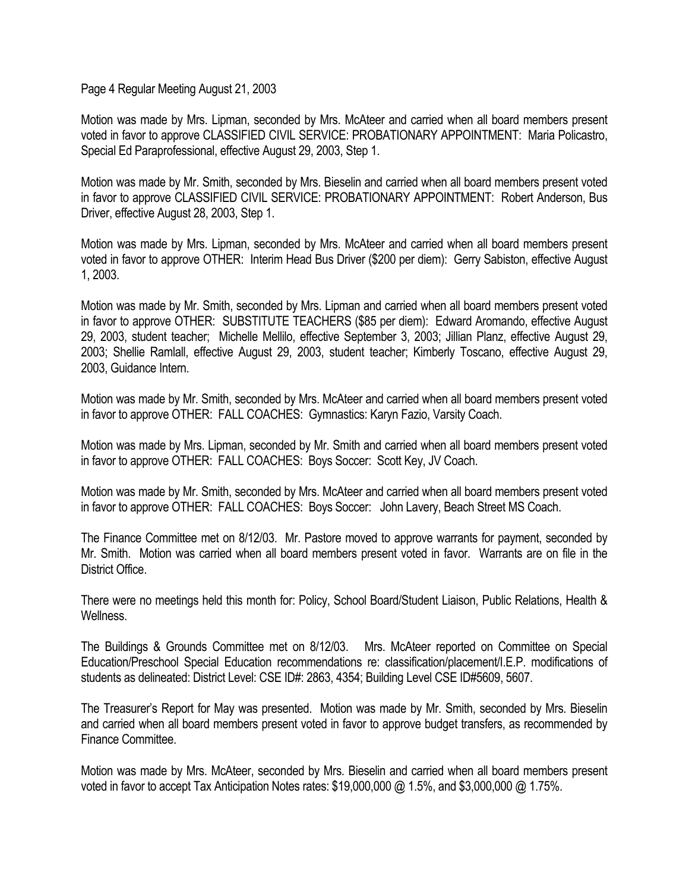Page 4 Regular Meeting August 21, 2003

Motion was made by Mrs. Lipman, seconded by Mrs. McAteer and carried when all board members present voted in favor to approve CLASSIFIED CIVIL SERVICE: PROBATIONARY APPOINTMENT: Maria Policastro, Special Ed Paraprofessional, effective August 29, 2003, Step 1.

Motion was made by Mr. Smith, seconded by Mrs. Bieselin and carried when all board members present voted in favor to approve CLASSIFIED CIVIL SERVICE: PROBATIONARY APPOINTMENT: Robert Anderson, Bus Driver, effective August 28, 2003, Step 1.

Motion was made by Mrs. Lipman, seconded by Mrs. McAteer and carried when all board members present voted in favor to approve OTHER: Interim Head Bus Driver (\$200 per diem): Gerry Sabiston, effective August 1, 2003.

Motion was made by Mr. Smith, seconded by Mrs. Lipman and carried when all board members present voted in favor to approve OTHER: SUBSTITUTE TEACHERS (\$85 per diem): Edward Aromando, effective August 29, 2003, student teacher; Michelle Mellilo, effective September 3, 2003; Jillian Planz, effective August 29, 2003; Shellie Ramlall, effective August 29, 2003, student teacher; Kimberly Toscano, effective August 29, 2003, Guidance Intern.

Motion was made by Mr. Smith, seconded by Mrs. McAteer and carried when all board members present voted in favor to approve OTHER: FALL COACHES: Gymnastics: Karyn Fazio, Varsity Coach.

Motion was made by Mrs. Lipman, seconded by Mr. Smith and carried when all board members present voted in favor to approve OTHER: FALL COACHES: Boys Soccer: Scott Key, JV Coach.

Motion was made by Mr. Smith, seconded by Mrs. McAteer and carried when all board members present voted in favor to approve OTHER: FALL COACHES: Boys Soccer: John Lavery, Beach Street MS Coach.

The Finance Committee met on 8/12/03. Mr. Pastore moved to approve warrants for payment, seconded by Mr. Smith. Motion was carried when all board members present voted in favor. Warrants are on file in the District Office.

There were no meetings held this month for: Policy, School Board/Student Liaison, Public Relations, Health & Wellness.

The Buildings & Grounds Committee met on 8/12/03. Mrs. McAteer reported on Committee on Special Education/Preschool Special Education recommendations re: classification/placement/I.E.P. modifications of students as delineated: District Level: CSE ID#: 2863, 4354; Building Level CSE ID#5609, 5607.

The Treasurer's Report for May was presented. Motion was made by Mr. Smith, seconded by Mrs. Bieselin and carried when all board members present voted in favor to approve budget transfers, as recommended by Finance Committee.

Motion was made by Mrs. McAteer, seconded by Mrs. Bieselin and carried when all board members present voted in favor to accept Tax Anticipation Notes rates: \$19,000,000 @ 1.5%, and \$3,000,000 @ 1.75%.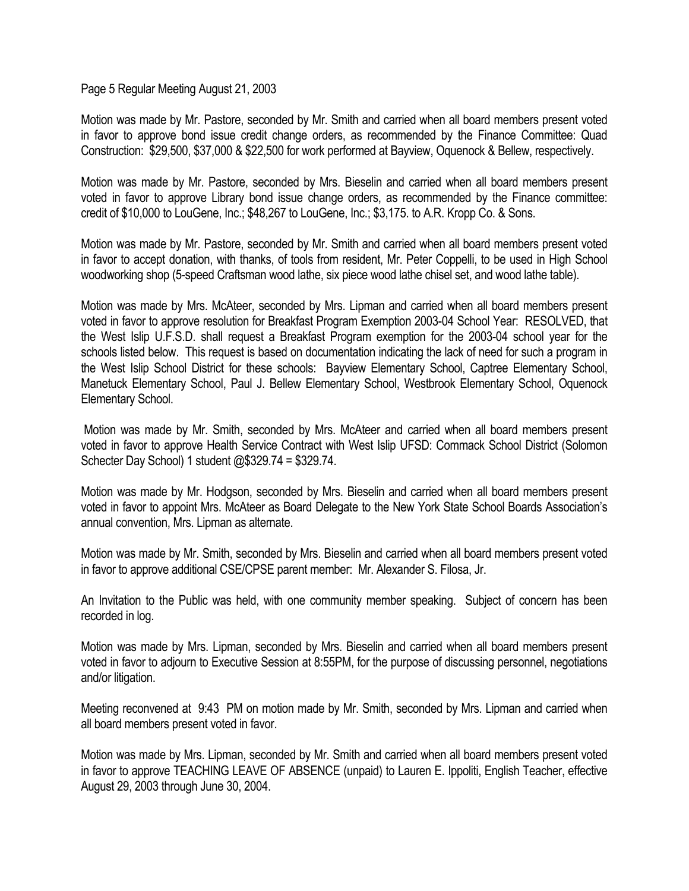Page 5 Regular Meeting August 21, 2003

Motion was made by Mr. Pastore, seconded by Mr. Smith and carried when all board members present voted in favor to approve bond issue credit change orders, as recommended by the Finance Committee: Quad Construction: \$29,500, \$37,000 & \$22,500 for work performed at Bayview, Oquenock & Bellew, respectively.

Motion was made by Mr. Pastore, seconded by Mrs. Bieselin and carried when all board members present voted in favor to approve Library bond issue change orders, as recommended by the Finance committee: credit of \$10,000 to LouGene, Inc.; \$48,267 to LouGene, Inc.; \$3,175. to A.R. Kropp Co. & Sons.

Motion was made by Mr. Pastore, seconded by Mr. Smith and carried when all board members present voted in favor to accept donation, with thanks, of tools from resident, Mr. Peter Coppelli, to be used in High School woodworking shop (5-speed Craftsman wood lathe, six piece wood lathe chisel set, and wood lathe table).

Motion was made by Mrs. McAteer, seconded by Mrs. Lipman and carried when all board members present voted in favor to approve resolution for Breakfast Program Exemption 2003-04 School Year: RESOLVED, that the West Islip U.F.S.D. shall request a Breakfast Program exemption for the 2003-04 school year for the schools listed below. This request is based on documentation indicating the lack of need for such a program in the West Islip School District for these schools: Bayview Elementary School, Captree Elementary School, Manetuck Elementary School, Paul J. Bellew Elementary School, Westbrook Elementary School, Oquenock Elementary School.

 Motion was made by Mr. Smith, seconded by Mrs. McAteer and carried when all board members present voted in favor to approve Health Service Contract with West Islip UFSD: Commack School District (Solomon Schecter Day School) 1 student @\$329.74 = \$329.74.

Motion was made by Mr. Hodgson, seconded by Mrs. Bieselin and carried when all board members present voted in favor to appoint Mrs. McAteer as Board Delegate to the New York State School Boards Association's annual convention, Mrs. Lipman as alternate.

Motion was made by Mr. Smith, seconded by Mrs. Bieselin and carried when all board members present voted in favor to approve additional CSE/CPSE parent member: Mr. Alexander S. Filosa, Jr.

An Invitation to the Public was held, with one community member speaking. Subject of concern has been recorded in log.

Motion was made by Mrs. Lipman, seconded by Mrs. Bieselin and carried when all board members present voted in favor to adjourn to Executive Session at 8:55PM, for the purpose of discussing personnel, negotiations and/or litigation.

Meeting reconvened at 9:43 PM on motion made by Mr. Smith, seconded by Mrs. Lipman and carried when all board members present voted in favor.

Motion was made by Mrs. Lipman, seconded by Mr. Smith and carried when all board members present voted in favor to approve TEACHING LEAVE OF ABSENCE (unpaid) to Lauren E. Ippoliti, English Teacher, effective August 29, 2003 through June 30, 2004.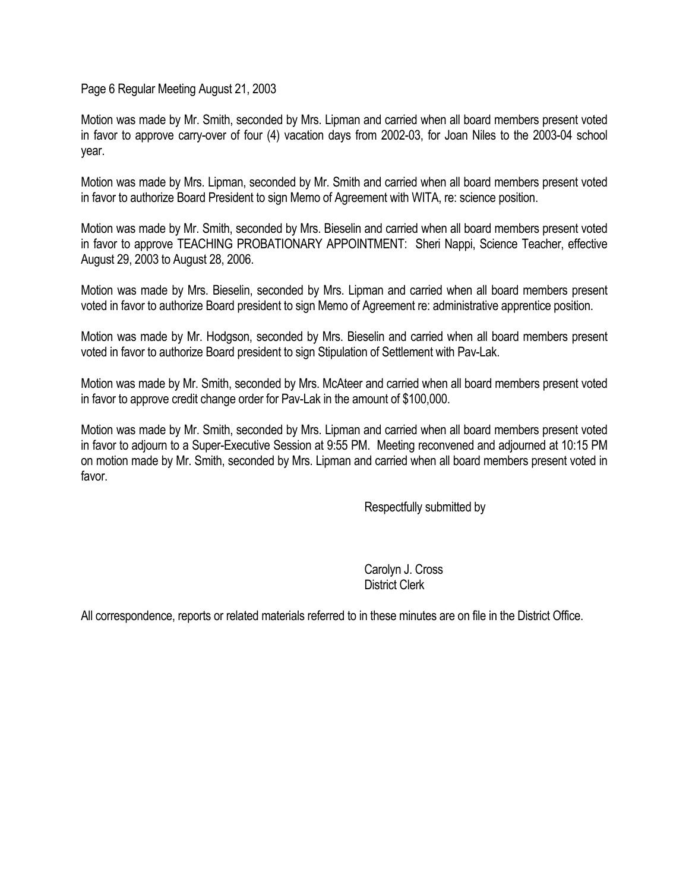Page 6 Regular Meeting August 21, 2003

Motion was made by Mr. Smith, seconded by Mrs. Lipman and carried when all board members present voted in favor to approve carry-over of four (4) vacation days from 2002-03, for Joan Niles to the 2003-04 school year.

Motion was made by Mrs. Lipman, seconded by Mr. Smith and carried when all board members present voted in favor to authorize Board President to sign Memo of Agreement with WITA, re: science position.

Motion was made by Mr. Smith, seconded by Mrs. Bieselin and carried when all board members present voted in favor to approve TEACHING PROBATIONARY APPOINTMENT: Sheri Nappi, Science Teacher, effective August 29, 2003 to August 28, 2006.

Motion was made by Mrs. Bieselin, seconded by Mrs. Lipman and carried when all board members present voted in favor to authorize Board president to sign Memo of Agreement re: administrative apprentice position.

Motion was made by Mr. Hodgson, seconded by Mrs. Bieselin and carried when all board members present voted in favor to authorize Board president to sign Stipulation of Settlement with Pav-Lak.

Motion was made by Mr. Smith, seconded by Mrs. McAteer and carried when all board members present voted in favor to approve credit change order for Pav-Lak in the amount of \$100,000.

Motion was made by Mr. Smith, seconded by Mrs. Lipman and carried when all board members present voted in favor to adjourn to a Super-Executive Session at 9:55 PM. Meeting reconvened and adjourned at 10:15 PM on motion made by Mr. Smith, seconded by Mrs. Lipman and carried when all board members present voted in favor.

Respectfully submitted by

 Carolyn J. Cross District Clerk

All correspondence, reports or related materials referred to in these minutes are on file in the District Office.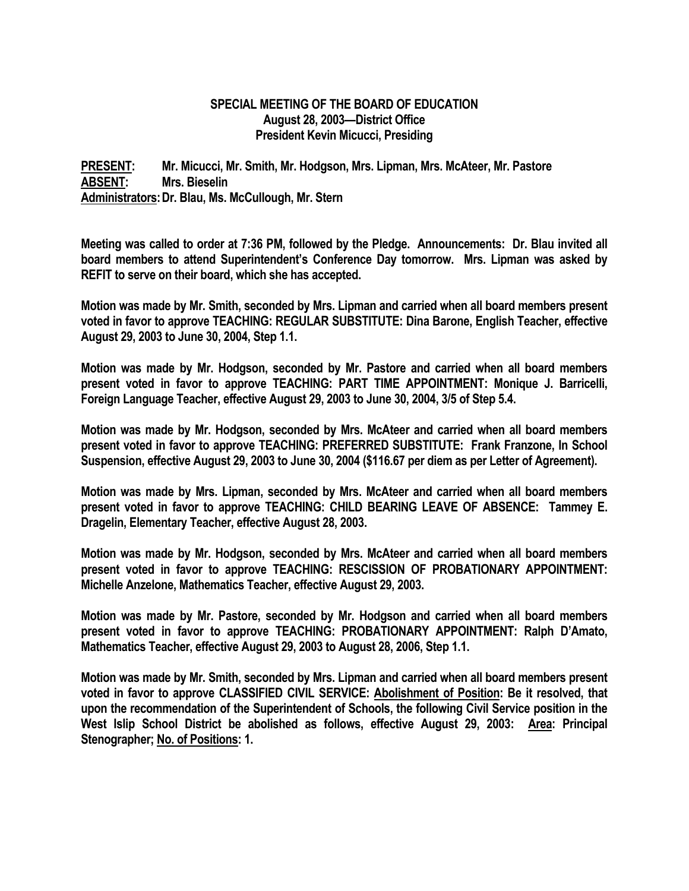## **SPECIAL MEETING OF THE BOARD OF EDUCATION August 28, 2003—District Office President Kevin Micucci, Presiding**

**PRESENT: Mr. Micucci, Mr. Smith, Mr. Hodgson, Mrs. Lipman, Mrs. McAteer, Mr. Pastore ABSENT: Mrs. Bieselin Administrators: Dr. Blau, Ms. McCullough, Mr. Stern** 

**Meeting was called to order at 7:36 PM, followed by the Pledge. Announcements: Dr. Blau invited all board members to attend Superintendent's Conference Day tomorrow. Mrs. Lipman was asked by REFIT to serve on their board, which she has accepted.** 

**Motion was made by Mr. Smith, seconded by Mrs. Lipman and carried when all board members present voted in favor to approve TEACHING: REGULAR SUBSTITUTE: Dina Barone, English Teacher, effective August 29, 2003 to June 30, 2004, Step 1.1.** 

**Motion was made by Mr. Hodgson, seconded by Mr. Pastore and carried when all board members present voted in favor to approve TEACHING: PART TIME APPOINTMENT: Monique J. Barricelli, Foreign Language Teacher, effective August 29, 2003 to June 30, 2004, 3/5 of Step 5.4.** 

**Motion was made by Mr. Hodgson, seconded by Mrs. McAteer and carried when all board members present voted in favor to approve TEACHING: PREFERRED SUBSTITUTE: Frank Franzone, In School Suspension, effective August 29, 2003 to June 30, 2004 (\$116.67 per diem as per Letter of Agreement).** 

**Motion was made by Mrs. Lipman, seconded by Mrs. McAteer and carried when all board members present voted in favor to approve TEACHING: CHILD BEARING LEAVE OF ABSENCE: Tammey E. Dragelin, Elementary Teacher, effective August 28, 2003.** 

**Motion was made by Mr. Hodgson, seconded by Mrs. McAteer and carried when all board members present voted in favor to approve TEACHING: RESCISSION OF PROBATIONARY APPOINTMENT: Michelle Anzelone, Mathematics Teacher, effective August 29, 2003.** 

**Motion was made by Mr. Pastore, seconded by Mr. Hodgson and carried when all board members present voted in favor to approve TEACHING: PROBATIONARY APPOINTMENT: Ralph D'Amato, Mathematics Teacher, effective August 29, 2003 to August 28, 2006, Step 1.1.** 

**Motion was made by Mr. Smith, seconded by Mrs. Lipman and carried when all board members present voted in favor to approve CLASSIFIED CIVIL SERVICE: Abolishment of Position: Be it resolved, that upon the recommendation of the Superintendent of Schools, the following Civil Service position in the West Islip School District be abolished as follows, effective August 29, 2003: Area: Principal Stenographer; No. of Positions: 1.**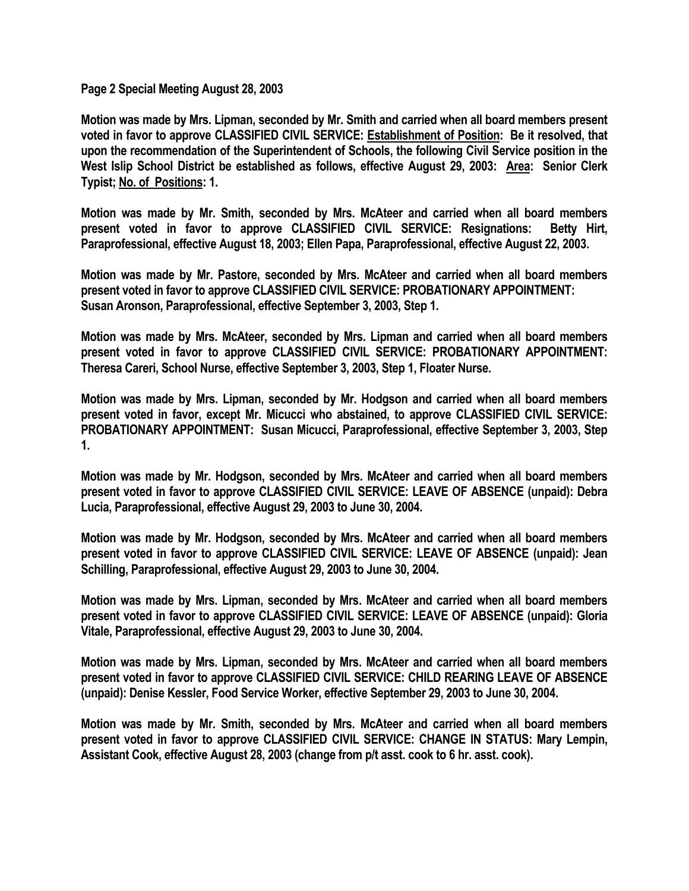**Page 2 Special Meeting August 28, 2003** 

**Motion was made by Mrs. Lipman, seconded by Mr. Smith and carried when all board members present voted in favor to approve CLASSIFIED CIVIL SERVICE: Establishment of Position: Be it resolved, that upon the recommendation of the Superintendent of Schools, the following Civil Service position in the West Islip School District be established as follows, effective August 29, 2003: Area: Senior Clerk Typist; No. of Positions: 1.** 

**Motion was made by Mr. Smith, seconded by Mrs. McAteer and carried when all board members present voted in favor to approve CLASSIFIED CIVIL SERVICE: Resignations: Betty Hirt, Paraprofessional, effective August 18, 2003; Ellen Papa, Paraprofessional, effective August 22, 2003.** 

**Motion was made by Mr. Pastore, seconded by Mrs. McAteer and carried when all board members present voted in favor to approve CLASSIFIED CIVIL SERVICE: PROBATIONARY APPOINTMENT: Susan Aronson, Paraprofessional, effective September 3, 2003, Step 1.** 

**Motion was made by Mrs. McAteer, seconded by Mrs. Lipman and carried when all board members present voted in favor to approve CLASSIFIED CIVIL SERVICE: PROBATIONARY APPOINTMENT: Theresa Careri, School Nurse, effective September 3, 2003, Step 1, Floater Nurse.** 

**Motion was made by Mrs. Lipman, seconded by Mr. Hodgson and carried when all board members present voted in favor, except Mr. Micucci who abstained, to approve CLASSIFIED CIVIL SERVICE: PROBATIONARY APPOINTMENT: Susan Micucci, Paraprofessional, effective September 3, 2003, Step 1.** 

**Motion was made by Mr. Hodgson, seconded by Mrs. McAteer and carried when all board members present voted in favor to approve CLASSIFIED CIVIL SERVICE: LEAVE OF ABSENCE (unpaid): Debra Lucia, Paraprofessional, effective August 29, 2003 to June 30, 2004.** 

**Motion was made by Mr. Hodgson, seconded by Mrs. McAteer and carried when all board members present voted in favor to approve CLASSIFIED CIVIL SERVICE: LEAVE OF ABSENCE (unpaid): Jean Schilling, Paraprofessional, effective August 29, 2003 to June 30, 2004.** 

**Motion was made by Mrs. Lipman, seconded by Mrs. McAteer and carried when all board members present voted in favor to approve CLASSIFIED CIVIL SERVICE: LEAVE OF ABSENCE (unpaid): Gloria Vitale, Paraprofessional, effective August 29, 2003 to June 30, 2004.** 

**Motion was made by Mrs. Lipman, seconded by Mrs. McAteer and carried when all board members present voted in favor to approve CLASSIFIED CIVIL SERVICE: CHILD REARING LEAVE OF ABSENCE (unpaid): Denise Kessler, Food Service Worker, effective September 29, 2003 to June 30, 2004.** 

**Motion was made by Mr. Smith, seconded by Mrs. McAteer and carried when all board members present voted in favor to approve CLASSIFIED CIVIL SERVICE: CHANGE IN STATUS: Mary Lempin, Assistant Cook, effective August 28, 2003 (change from p/t asst. cook to 6 hr. asst. cook).**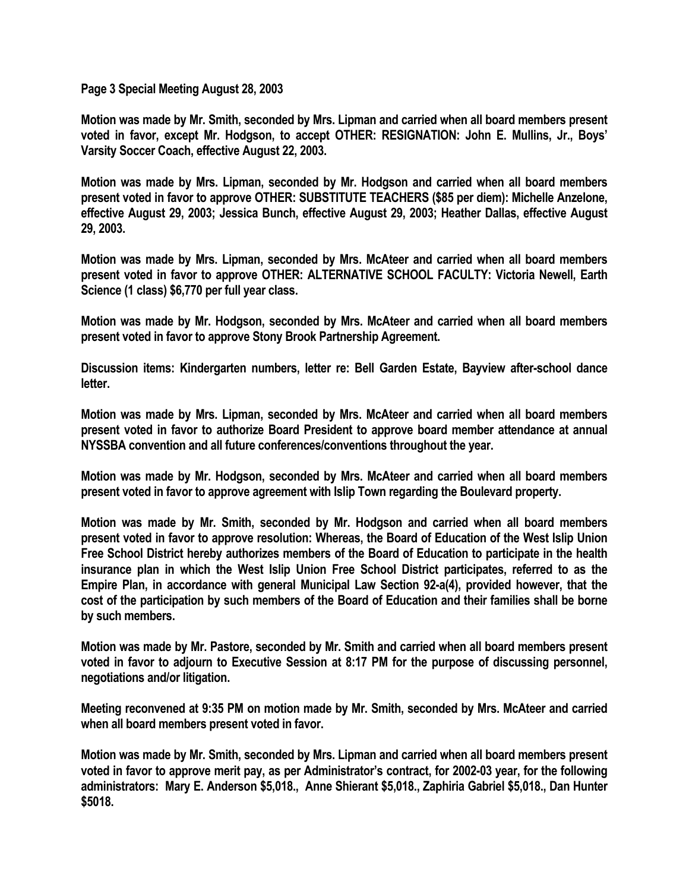**Page 3 Special Meeting August 28, 2003** 

**Motion was made by Mr. Smith, seconded by Mrs. Lipman and carried when all board members present voted in favor, except Mr. Hodgson, to accept OTHER: RESIGNATION: John E. Mullins, Jr., Boys' Varsity Soccer Coach, effective August 22, 2003.** 

**Motion was made by Mrs. Lipman, seconded by Mr. Hodgson and carried when all board members present voted in favor to approve OTHER: SUBSTITUTE TEACHERS (\$85 per diem): Michelle Anzelone, effective August 29, 2003; Jessica Bunch, effective August 29, 2003; Heather Dallas, effective August 29, 2003.** 

**Motion was made by Mrs. Lipman, seconded by Mrs. McAteer and carried when all board members present voted in favor to approve OTHER: ALTERNATIVE SCHOOL FACULTY: Victoria Newell, Earth Science (1 class) \$6,770 per full year class.** 

**Motion was made by Mr. Hodgson, seconded by Mrs. McAteer and carried when all board members present voted in favor to approve Stony Brook Partnership Agreement.** 

**Discussion items: Kindergarten numbers, letter re: Bell Garden Estate, Bayview after-school dance letter.** 

**Motion was made by Mrs. Lipman, seconded by Mrs. McAteer and carried when all board members present voted in favor to authorize Board President to approve board member attendance at annual NYSSBA convention and all future conferences/conventions throughout the year.** 

**Motion was made by Mr. Hodgson, seconded by Mrs. McAteer and carried when all board members present voted in favor to approve agreement with Islip Town regarding the Boulevard property.** 

**Motion was made by Mr. Smith, seconded by Mr. Hodgson and carried when all board members present voted in favor to approve resolution: Whereas, the Board of Education of the West Islip Union Free School District hereby authorizes members of the Board of Education to participate in the health insurance plan in which the West Islip Union Free School District participates, referred to as the Empire Plan, in accordance with general Municipal Law Section 92-a(4), provided however, that the cost of the participation by such members of the Board of Education and their families shall be borne by such members.** 

**Motion was made by Mr. Pastore, seconded by Mr. Smith and carried when all board members present voted in favor to adjourn to Executive Session at 8:17 PM for the purpose of discussing personnel, negotiations and/or litigation.** 

**Meeting reconvened at 9:35 PM on motion made by Mr. Smith, seconded by Mrs. McAteer and carried when all board members present voted in favor.** 

**Motion was made by Mr. Smith, seconded by Mrs. Lipman and carried when all board members present voted in favor to approve merit pay, as per Administrator's contract, for 2002-03 year, for the following administrators: Mary E. Anderson \$5,018., Anne Shierant \$5,018., Zaphiria Gabriel \$5,018., Dan Hunter \$5018.**